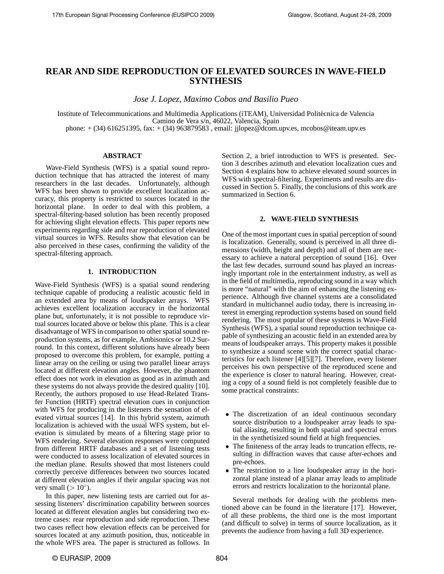# **REAR AND SIDE REPRODUCTION OF ELEVATED SOURCES IN WAVE-FIELD SYNTHESIS**

*Jose J. Lopez, Maximo Cobos and Basilio Pueo*

Institute of Telecommunications and Multimedia Applications (iTEAM), Universidad Politecnica de Valencia ´ Camino de Vera s/n, 46022, Valencia, Spain phone: + (34) 616251395, fax: + (34) 963879583 , email: jjlopez@dcom.upv.es, mcobos@iteam.upv.es

# **ABSTRACT**

Wave-Field Synthesis (WFS) is a spatial sound reproduction technique that has attracted the interest of many researchers in the last decades. Unfortunately, although WFS has been shown to provide excellent localization accuracy, this property is restricted to sources located in the horizontal plane. In order to deal with this problem, a spectral-filtering-based solution has been recently proposed for achieving slight elevation effects. This paper reports new experiments regarding side and rear reproduction of elevated virtual sources in WFS. Results show that elevation can be also perceived in these cases, confirming the validity of the spectral-filtering approach.

## **1. INTRODUCTION**

Wave-Field Synthesis (WFS) is a spatial sound rendering technique capable of producing a realistic acoustic field in an extended area by means of loudspeaker arrays. WFS achieves excellent localization accuracy in the horizontal plane but, unfortunately, it is not possible to reproduce virtual sources located above or below this plane. This is a clear disadvantage of WFS in comparison to other spatial sound reproduction systems, as for example, Ambisonics or 10.2 Surround. In this context, different solutions have already been proposed to overcome this problem, for example, putting a linear array on the ceiling or using two parallel linear arrays located at different elevation angles. However, the phantom effect does not work in elevation as good as in azimuth and these systems do not always provide the desired quality [10]. Recently, the authors proposed to use Head-Related Transfer Function (HRTF) spectral elevation cues in conjunction with WFS for producing in the listeners the sensation of elevated virtual sources [14]. In this hybrid system, azimuth localization is achieved with the usual WFS system, but elevation is simulated by means of a filtering stage prior to WFS rendering. Several elevation responses were computed from different HRTF databases and a set of listening tests were conducted to assess localization of elevated sources in the median plane. Results showed that most listeners could correctly perceive differences between two sources located at different elevation angles if their angular spacing was not very small  $(>10^{\circ})$ .

In this paper, new listening tests are carried out for assessing listeners' discrimination capability between sources located at different elevation angles but considering two extreme cases: rear reproduction and side reproduction. These two cases reflect how elevation effects can be perceived for sources located at any azimuth position, thus, noticeable in the whole WFS area. The paper is structured as follows. In

Section 2, a brief introduction to WFS is presented. Section 3 describes azimuth and elevation localization cues and Section 4 explains how to achieve elevated sound sources in WFS with spectral-filtering. Experiments and results are discussed in Section 5. Finally, the conclusions of this work are summarized in Section 6.

#### **2. WAVE-FIELD SYNTHESIS**

One of the most important cues in spatial perception of sound is localization. Generally, sound is perceived in all three dimensions (width, height and depth) and all of them are necessary to achieve a natural perception of sound [16]. Over the last few decades, surround sound has played an increasingly important role in the entertainment industry, as well as in the field of multimedia, reproducing sound in a way which is more "natural" with the aim of enhancing the listening experience. Although five channel systems are a consolidated standard in multichannel audio today, there is increasing interest in emerging reproduction systems based on sound field rendering. The most popular of these systems is Wave-Field Synthesis (WFS), a spatial sound reproduction technique capable of synthesizing an acoustic field in an extended area by means of loudspeaker arrays. This property makes it possible to synthesize a sound scene with the correct spatial characteristics for each listener [4][5][7]. Therefore, every listener perceives his own perspective of the reproduced scene and the experience is closer to natural hearing. However, creating a copy of a sound field is not completely feasible due to some practical constraints:

- The discretization of an ideal continuous secondary source distribution to a loudspeaker array leads to spatial aliasing, resulting in both spatial and spectral errors in the synthetisized sound field at high frequencies.
- The finiteness of the array leads to truncation effects, resulting in diffraction waves that cause after-echoes and pre-echoes.
- The restriction to a line loudspeaker array in the horizontal plane instead of a planar array leads to amplitude errors and restricts localization to the horizontal plane.

Several methods for dealing with the problems mentioned above can be found in the literature [17]. However, of all these problems, the third one is the most important (and difficult to solve) in terms of source localization, as it prevents the audience from having a full 3D experience.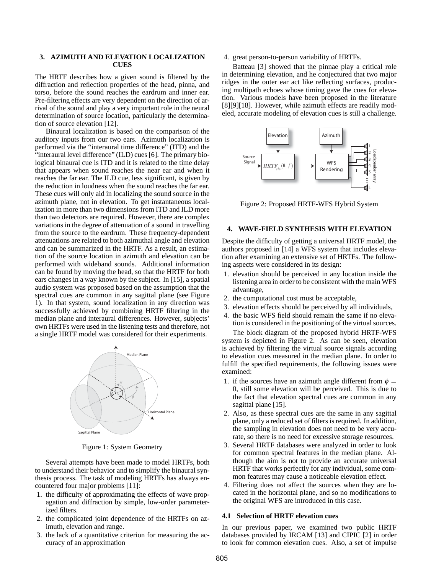# **3. AZIMUTH AND ELEVATION LOCALIZATION CUES**

The HRTF describes how a given sound is filtered by the diffraction and reflection properties of the head, pinna, and torso, before the sound reaches the eardrum and inner ear. Pre-filtering effects are very dependent on the direction of arrival of the sound and play a very important role in the neural determination of source location, particularly the determination of source elevation [12].

Binaural localization is based on the comparison of the auditory inputs from our two ears. Azimuth localization is performed via the "interaural time difference" (ITD) and the "interaural level difference" (ILD) cues [6]. The primary biological binaural cue is ITD and it is related to the time delay that appears when sound reaches the near ear and when it reaches the far ear. The ILD cue, less significant, is given by the reduction in loudness when the sound reaches the far ear. These cues will only aid in localizing the sound source in the azimuth plane, not in elevation. To get instantaneous localization in more than two dimensions from ITD and ILD more than two detectors are required. However, there are complex variations in the degree of attenuation of a sound in travelling from the source to the eardrum. These frequency-dependent attenuations are related to both azimuthal angle and elevation and can be summarized in the HRTF. As a result, an estimation of the source location in azimuth and elevation can be performed with wideband sounds. Additional information can be found by moving the head, so that the HRTF for both ears changes in a way known by the subject. In [15], a spatial audio system was proposed based on the assumption that the spectral cues are common in any sagittal plane (see Figure 1). In that system, sound localization in any direction was successfully achieved by combining HRTF filtering in the median plane and interaural differences. However, subjects' own HRTFs were used in the listening tests and therefore, not a single HRTF model was considered for their experiments.



Figure 1: System Geometry

Several attempts have been made to model HRTFs, both to understand their behavior and to simplify the binaural synthesis process. The task of modeling HRTFs has always encountered four major problems [11]:

- 1. the difficulty of approximating the effects of wave propagation and diffraction by simple, low-order parameterized filters.
- 2. the complicated joint dependence of the HRTFs on azimuth, elevation and range.
- 3. the lack of a quantitative criterion for measuring the accuracy of an approximation

### 4. great person-to-person variability of HRTFs.

Batteau [3] showed that the pinnae play a critical role in determining elevation, and he conjectured that two major ridges in the outer ear act like reflecting surfaces, producing multipath echoes whose timing gave the cues for elevation. Various models have been proposed in the literature [8][9][18]. However, while azimuth effects are readily modeled, accurate modeling of elevation cues is still a challenge.



Figure 2: Proposed HRTF-WFS Hybrid System

## **4. WAVE-FIELD SYNTHESIS WITH ELEVATION**

Despite the difficulty of getting a universal HRTF model, the authors proposed in [14] a WFS system that includes elevation after examining an extensive set of HRTFs. The following aspects were considered in its design:

- 1. elevation should be perceived in any location inside the listening area in order to be consistent with the main WFS advantage,
- 2. the computational cost must be acceptable,
- 3. elevation effects should be perceived by all individuals,
- 4. the basic WFS field should remain the same if no elevation is considered in the positioning of the virtual sources.

The block diagram of the proposed hybrid HRTF-WFS system is depicted in Figure 2. As can be seen, elevation is achieved by filtering the virtual source signals according to elevation cues measured in the median plane. In order to fulfill the specified requirements, the following issues were examined:

- 1. if the sources have an azimuth angle different from  $\phi =$ 0, still some elevation will be perceived. This is due to the fact that elevation spectral cues are common in any sagittal plane [15].
- 2. Also, as these spectral cues are the same in any sagittal plane, only a reduced set of filters is required. In addition, the sampling in elevation does not need to be very accurate, so there is no need for excessive storage resources.
- 3. Several HRTF databases were analyzed in order to look for common spectral features in the median plane. Although the aim is not to provide an accurate universal HRTF that works perfectly for any individual, some common features may cause a noticeable elevation effect.
- 4. Filtering does not affect the sources when they are located in the horizontal plane, and so no modifications to the original WFS are introduced in this case.

#### **4.1 Selection of HRTF elevation cues**

In our previous paper, we examined two public HRTF databases provided by IRCAM [13] and CIPIC [2] in order to look for common elevation cues. Also, a set of impulse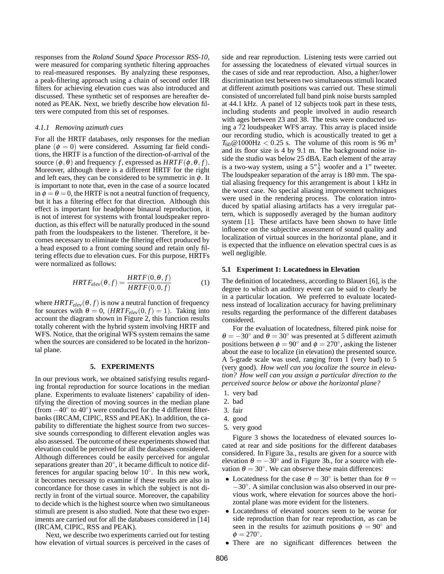responses from the *Roland Sound Space Processor RSS-10*, were measured for comparing synthetic filtering approaches to real-measured responses. By analyzing these responses, a peak-filtering approach using a chain of second order IIR filters for achieving elevation cues was also introduced and discussed. These synthetic set of responses are hereafter denoted as PEAK. Next, we briefly describe how elevation filters were computed from this set of responses.

#### *4.1.1 Removing azimuth cues*

For all the HRTF databases, only responses for the median plane  $(\phi = 0)$  were considered. Assuming far field conditions, the HRTF is a function of the direction-of-arrival of the source  $(\phi, \theta)$  and frequency *f*, expressed as *HRTF*( $\phi, \theta, f$ ). Moreover, although there is a different HRTF for the right and left ears, they can be considered to be symmetric in  $\phi$ . It is important to note that, even in the case of a source located in  $\phi = \theta = 0$ , the HRTF is not a neutral function of frequency, but it has a filtering effect for that direction. Although this effect is important for headphone binaural reproduction, it is not of interest for systems with frontal loudspeaker reproduction, as this effect will be naturally produced in the sound path from the loudspeakers to the listener. Therefore, it becomes necessary to eliminate the filtering effect produced by a head exposed to a front coming sound and retain only filtering effects due to elevation cues. For this purpose, HRTFs were normalized as follows:

$$
HRTF_{elev}(\theta, f) = \frac{HRTF(0, \theta, f)}{HRTF(0, 0, f)}
$$
(1)

where  $HRTF_{elev}(\theta, f)$  is now a neutral function of frequency for sources with  $\theta = 0$ ,  $(HRTF_{elev}(0, f) = 1)$ . Taking into account the diagram shown in Figure 2, this function results totally coherent with the hybrid system involving HRTF and WFS. Notice, that the original WFS system remains the same when the sources are considered to be located in the horizontal plane.

#### **5. EXPERIMENTS**

In our previous work, we obtained satisfying results regarding frontal reproduction for source locations in the median plane. Experiments to evaluate listeners' capability of identifying the direction of moving sources in the median plane (from −40◦ to 40◦ ) were conducted for the 4 different filterbanks (IRCAM, CIPIC, RSS and PEAK). In addition, the capability to differentiate the highest source from two successive sounds corresponding to different elevation angles was also assessed. The outcome of these experiments showed that elevation could be perceived for all the databases considered. Although differences could be easily perceived for angular separations greater than 20°, it became difficult to notice differences for angular spacing below 10°. In this new work, it becomes necessary to examine if these results are also in concordance for those cases in which the subject is not directly in front of the virtual source. Moreover, the capability to decide which is the highest source when two simultaneous stimuli are present is also studied. Note that these two experiments are carried out for all the databases considered in [14] (IRCAM, CIPIC, RSS and PEAK).

Next, we describe two experiments carried out for testing how elevation of virtual sources is perceived in the cases of side and rear reproduction. Listening tests were carried out for assessing the locatedness of elevated virtual sources in the cases of side and rear reproduction. Also, a higher/lower discrimination test between two simultaneous stimuli located at different azimuth positions was carried out. These stimuli consisted of uncorrelated full band pink noise bursts sampled at 44.1 kHz. A panel of 12 subjects took part in these tests, including students and people involved in audio research with ages between 23 and 38. The tests were conducted using a 72 loudspeaker WFS array. This array is placed inside our recording studio, which is acoustically treated to get a  $T_{60}$ @1000Hz < 0.25 s. The volume of this room is 96 m<sup>3</sup> and its floor size is 4 by 9.1 m. The background noise inside the studio was below 25 dBA. Each element of the array is a two-way system, using a  $5"\frac{1}{2}$  woofer and a 1" tweeter.<br>The loudspeaker separation of the array is 180 mm. The spatial aliasing frequency for this arrangement is about 1 kHz in the worst case. No special aliasing improvement techniques were used in the rendering process. The coloration introduced by spatial aliasing artifacts has a very irregular pattern, which is supposedly averaged by the human auditory system [1]. These artifacts have been shown to have little influence on the subjective assessment of sound quality and localization of virtual sources in the horizontal plane, and it is expected that the influence on elevation spectral cues is as well negligible.

#### **5.1 Experiment 1: Locatedness in Elevation**

The definition of locatedness, according to Blauert [6], is the degree to which an auditory event can be said to clearly be in a particular location. We preferred to evaluate locatedness instead of localization accuracy for having preliminary results regarding the performance of the different databases considered.

For the evaluation of locatedness, filtered pink noise for  $\theta = -30^\circ$  and  $\theta = 30^\circ$  was presented at 5 different azimuth positions between  $\phi = 90^\circ$  and  $\phi = 270^\circ$ , asking the listener about the ease to localize (in elevation) the presented source. A 5-grade scale was used, ranging from 1 (very bad) to 5 (very good). *How well can you localize the source in elevation? How well can you assign a particular direction to the perceived source below or above the horizontal plane?*

- 1. very bad
- 2. bad
- 3. fair
- 4. good
- 5. very good

Figure 3 shows the locatedness of elevated sources located at rear and side positions for the different databases considered. In Figure 3a., results are given for a source with elevation  $\theta = -30^\circ$  and in Figure 3b., for a source with elevation  $\theta = 30^\circ$ . We can observe these main differences:

- Locatedness for the case  $\theta = 30^\circ$  is better than for  $\theta =$ −30◦ . A similar conclusion was also observed in our previous work, where elevation for sources above the horizontal plane was more evident for the listeners.
- Locatedness of elevated sources seem to be worse for side reproduction than for rear reproduction, as can be seen in the results for azimuth positions  $\phi = 90^\circ$  and  $\phi = 270^\circ.$
- There are no significant differences between the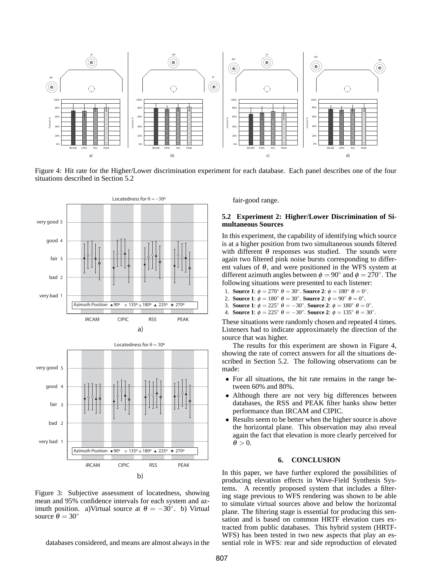

Figure 4: Hit rate for the Higher/Lower discrimination experiment for each database. Each panel describes one of the four situations described in Section 5.2



b) Figure 3: Subjective assessment of locatedness, showing mean and 95% confidence intervals for each system and azimuth position. a)Virtual source at  $\theta = -30^{\circ}$ . b) Virtual source  $\theta = 30^\circ$ 

IRCAM CIPIC RSS PEAK

databases considered, and means are almost always in the

fair-good range.

## **5.2 Experiment 2: Higher/Lower Discrimination of Simultaneous Sources**

In this experiment, the capability of identifying which source is at a higher position from two simultaneous sounds filtered with different  $\theta$  responses was studied. The sounds were again two filtered pink noise bursts corresponding to different values of  $\theta$ , and were positioned in the WFS system at different azimuth angles between  $\phi = 90^\circ$  and  $\phi = 270^\circ$ . The following situations were presented to each listener:

- 1. **Source 1**:  $\phi = 270^\circ$  θ = 30°. **Source 2**:  $\phi = 180^\circ$  θ = 0°.
- 2. **Source 1**:  $\phi = 180^\circ$   $\theta = 30^\circ$ . **Source 2**:  $\phi = 90^\circ$   $\theta = 0^\circ$ .
- 3. **Source 1**:  $\phi = 225^{\circ} \theta = -30^{\circ}$ . **Source 2**:  $\phi = 180^{\circ} \theta = 0^{\circ}$ .
- 4. **Source 1**:  $\phi = 225^\circ$  θ = −30°. **Source 2**:  $\phi = 135^\circ$  θ = 30°.

These situations were randomly chosen and repeated 4 times. Listeners had to indicate approximately the direction of the source that was higher.

The results for this experiment are shown in Figure 4, showing the rate of correct answers for all the situations described in Section 5.2. The following observations can be made:

- For all situations, the hit rate remains in the range between 60% and 80%.
- Although there are not very big differences between databases, the RSS and PEAK filter banks show better performance than IRCAM and CIPIC.
- Results seem to be better when the higher source is above the horizontal plane. This observation may also reveal again the fact that elevation is more clearly perceived for  $\theta > 0$ .

#### **6. CONCLUSION**

In this paper, we have further explored the possibilities of producing elevation effects in Wave-Field Synthesis Systems. A recently proposed system that includes a filtering stage previous to WFS rendering was shown to be able to simulate virtual sources above and below the horizontal plane. The filtering stage is essential for producing this sensation and is based on common HRTF elevation cues extracted from public databases. This hybrid system (HRTF-WFS) has been tested in two new aspects that play an essential role in WFS: rear and side reproduction of elevated